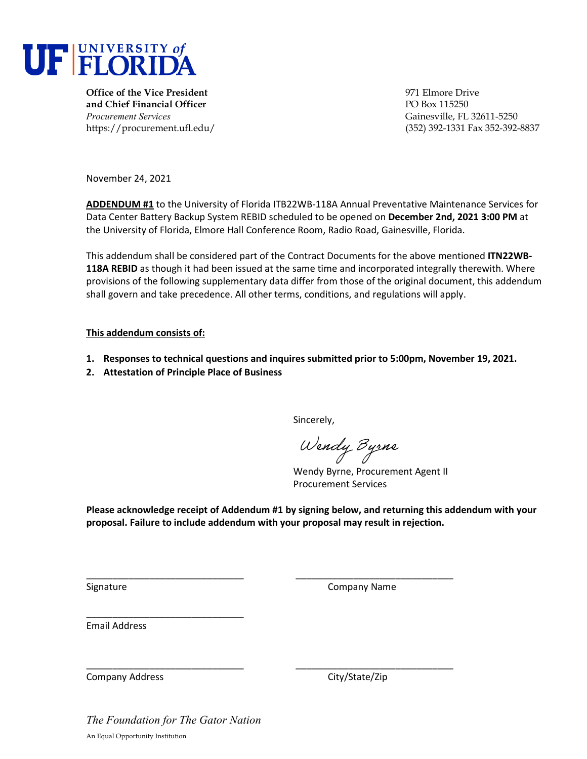

**Office of the Vice President** entertainment of the Vice President entertainment of the Vice Prive **and Chief Financial Officer** PO Box 115250 *Procurement Services* Gainesville, FL 32611-5250

https://procurement.ufl.edu/ (352) 392-1331 Fax 352-392-8837

November 24, 2021

**ADDENDUM #1** to the University of Florida ITB22WB-118A Annual Preventative Maintenance Services for Data Center Battery Backup System REBID scheduled to be opened on **December 2nd, 2021 3:00 PM** at the University of Florida, Elmore Hall Conference Room, Radio Road, Gainesville, Florida.

This addendum shall be considered part of the Contract Documents for the above mentioned **ITN22WB-118A REBID** as though it had been issued at the same time and incorporated integrally therewith. Where provisions of the following supplementary data differ from those of the original document, this addendum shall govern and take precedence. All other terms, conditions, and regulations will apply.

### **This addendum consists of:**

- **1. Responses to technical questions and inquires submitted prior to 5:00pm, November 19, 2021.**
- **2. Attestation of Principle Place of Business**

Sincerely,

Wendy Byrne

Wendy Byrne, Procurement Agent II Procurement Services

**Please acknowledge receipt of Addendum #1 by signing below, and returning this addendum with your proposal. Failure to include addendum with your proposal may result in rejection.** 

\_\_\_\_\_\_\_\_\_\_\_\_\_\_\_\_\_\_\_\_\_\_\_\_\_\_\_\_\_\_ \_\_\_\_\_\_\_\_\_\_\_\_\_\_\_\_\_\_\_\_\_\_\_\_\_\_\_\_\_\_

\_\_\_\_\_\_\_\_\_\_\_\_\_\_\_\_\_\_\_\_\_\_\_\_\_\_\_\_\_\_ \_\_\_\_\_\_\_\_\_\_\_\_\_\_\_\_\_\_\_\_\_\_\_\_\_\_\_\_\_\_

Signature Company Name

Email Address

Company Address Company Address City/State/Zip

*The Foundation for The Gator Nation*  An Equal Opportunity Institution

\_\_\_\_\_\_\_\_\_\_\_\_\_\_\_\_\_\_\_\_\_\_\_\_\_\_\_\_\_\_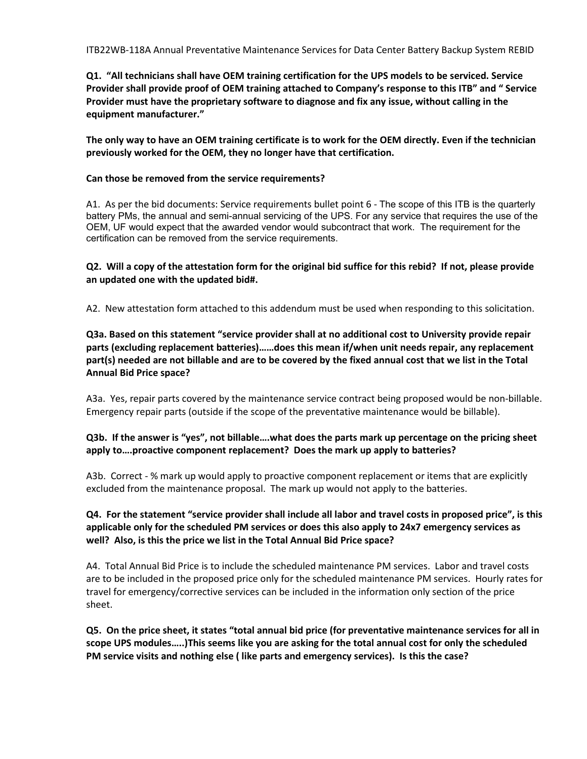ITB22WB-118A Annual Preventative Maintenance Services for Data Center Battery Backup System REBID

**Q1. "All technicians shall have OEM training certification for the UPS models to be serviced. Service Provider shall provide proof of OEM training attached to Company's response to this ITB" and " Service Provider must have the proprietary software to diagnose and fix any issue, without calling in the equipment manufacturer."**

**The only way to have an OEM training certificate is to work for the OEM directly. Even if the technician previously worked for the OEM, they no longer have that certification.** 

### **Can those be removed from the service requirements?**

A1. As per the bid documents: Service requirements bullet point 6 - The scope of this ITB is the quarterly battery PMs, the annual and semi-annual servicing of the UPS. For any service that requires the use of the OEM, UF would expect that the awarded vendor would subcontract that work. The requirement for the certification can be removed from the service requirements.

**Q2. Will a copy of the attestation form for the original bid suffice for this rebid? If not, please provide an updated one with the updated bid#.**

A2. New attestation form attached to this addendum must be used when responding to this solicitation.

**Q3a. Based on this statement "service provider shall at no additional cost to University provide repair parts (excluding replacement batteries)……does this mean if/when unit needs repair, any replacement part(s) needed are not billable and are to be covered by the fixed annual cost that we list in the Total Annual Bid Price space?**

A3a. Yes, repair parts covered by the maintenance service contract being proposed would be non-billable. Emergency repair parts (outside if the scope of the preventative maintenance would be billable).

## **Q3b. If the answer is "yes", not billable….what does the parts mark up percentage on the pricing sheet apply to….proactive component replacement? Does the mark up apply to batteries?**

A3b. Correct - % mark up would apply to proactive component replacement or items that are explicitly excluded from the maintenance proposal. The mark up would not apply to the batteries.

# **Q4. For the statement "service provider shall include all labor and travel costs in proposed price", is this applicable only for the scheduled PM services or does this also apply to 24x7 emergency services as well? Also, is this the price we list in the Total Annual Bid Price space?**

A4. Total Annual Bid Price is to include the scheduled maintenance PM services. Labor and travel costs are to be included in the proposed price only for the scheduled maintenance PM services. Hourly rates for travel for emergency/corrective services can be included in the information only section of the price sheet.

**Q5. On the price sheet, it states "total annual bid price (for preventative maintenance services for all in scope UPS modules…..)This seems like you are asking for the total annual cost for only the scheduled PM service visits and nothing else ( like parts and emergency services). Is this the case?**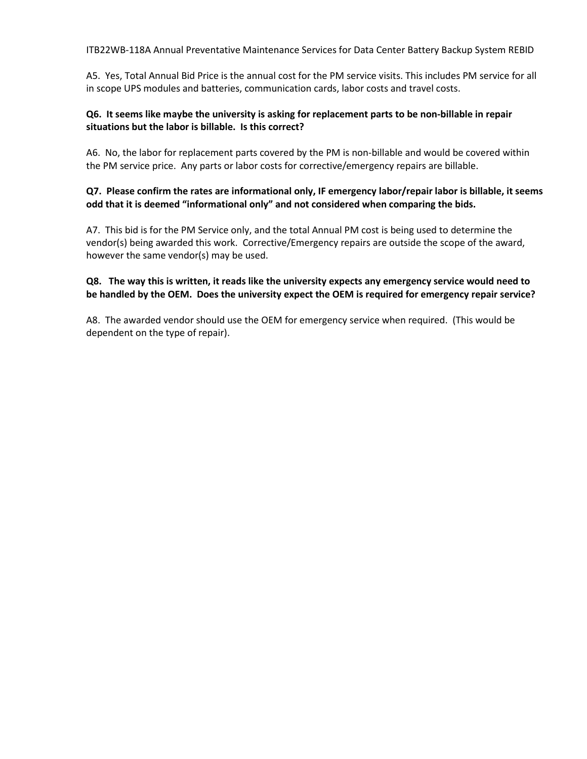ITB22WB-118A Annual Preventative Maintenance Services for Data Center Battery Backup System REBID

A5. Yes, Total Annual Bid Price is the annual cost for the PM service visits. This includes PM service for all in scope UPS modules and batteries, communication cards, labor costs and travel costs.

### **Q6. It seems like maybe the university is asking for replacement parts to be non-billable in repair situations but the labor is billable. Is this correct?**

A6. No, the labor for replacement parts covered by the PM is non-billable and would be covered within the PM service price. Any parts or labor costs for corrective/emergency repairs are billable.

# **Q7. Please confirm the rates are informational only, IF emergency labor/repair labor is billable, it seems odd that it is deemed "informational only" and not considered when comparing the bids.**

A7. This bid is for the PM Service only, and the total Annual PM cost is being used to determine the vendor(s) being awarded this work. Corrective/Emergency repairs are outside the scope of the award, however the same vendor(s) may be used.

# **Q8. The way this is written, it reads like the university expects any emergency service would need to be handled by the OEM. Does the university expect the OEM is required for emergency repair service?**

A8. The awarded vendor should use the OEM for emergency service when required. (This would be dependent on the type of repair).